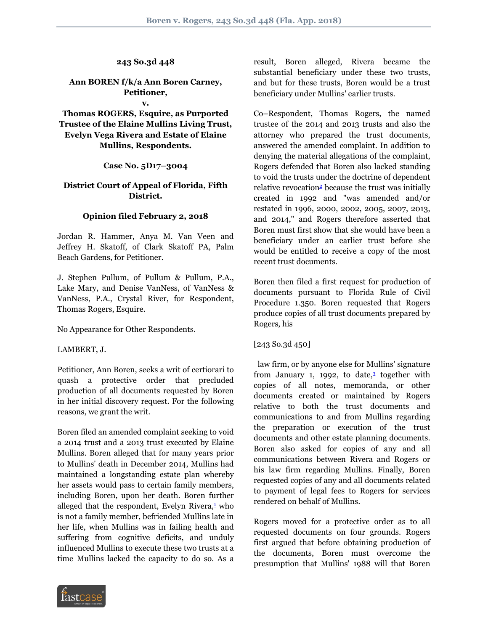## **243 So.3d 448**

# **Ann BOREN f/k/a Ann Boren Carney, Petitioner,**

#### **v.**

**Thomas ROGERS, Esquire, as Purported Trustee of the Elaine Mullins Living Trust, Evelyn Vega Rivera and Estate of Elaine Mullins, Respondents.**

### **Case No. 5D17–3004**

## **District Court of Appeal of Florida, Fifth District.**

### **Opinion filed February 2, 2018**

Jordan R. Hammer, Anya M. Van Veen and Jeffrey H. Skatoff, of Clark Skatoff PA, Palm Beach Gardens, for Petitioner.

J. Stephen Pullum, of Pullum & Pullum, P.A., Lake Mary, and Denise VanNess, of VanNess & VanNess, P.A., Crystal River, for Respondent, Thomas Rogers, Esquire.

No Appearance for Other Respondents.

LAMBERT, J.

Petitioner, Ann Boren, seeks a writ of certiorari to quash a protective order that precluded production of all documents requested by Boren in her initial discovery request. For the following reasons, we grant the writ.

Boren filed an amended complaint seeking to void a 2014 trust and a 2013 trust executed by Elaine Mullins. Boren alleged that for many years prior to Mullins' death in December 2014, Mullins had maintained a longstanding estate plan whereby her assets would pass to certain family members, including Boren, upon her death. Boren further alleged that the respondent, Evelyn Rivera,<sup>[1](#page-2-0)</sup> who is not a family member, befriended Mullins late in her life, when Mullins was in failing health and suffering from cognitive deficits, and unduly influenced Mullins to execute these two trusts at a time Mullins lacked the capacity to do so. As a



<span id="page-0-1"></span>Co–Respondent, Thomas Rogers, the named trustee of the 2014 and 2013 trusts and also the attorney who prepared the trust documents, answered the amended complaint. In addition to denying the material allegations of the complaint, Rogers defended that Boren also lacked standing to void the trusts under the doctrine of dependent relative revocation<sup>[2](#page-2-1)</sup> because the trust was initially created in 1992 and "was amended and/or restated in 1996, 2000, 2002, 2005, 2007, 2013, and 2014," and Rogers therefore asserted that Boren must first show that she would have been a beneficiary under an earlier trust before she would be entitled to receive a copy of the most recent trust documents.

Boren then filed a first request for production of documents pursuant to Florida Rule of Civil Procedure 1.350. Boren requested that Rogers produce copies of all trust documents prepared by Rogers, his

[243 So.3d 450]

<span id="page-0-2"></span> law firm, or by anyone else for Mullins' signature from January 1, 1992, to date,<sup>[3](#page-2-2)</sup> together with copies of all notes, memoranda, or other documents created or maintained by Rogers relative to both the trust documents and communications to and from Mullins regarding the preparation or execution of the trust documents and other estate planning documents. Boren also asked for copies of any and all communications between Rivera and Rogers or his law firm regarding Mullins. Finally, Boren requested copies of any and all documents related to payment of legal fees to Rogers for services rendered on behalf of Mullins.

<span id="page-0-0"></span>Rogers moved for a protective order as to all requested documents on four grounds. Rogers first argued that before obtaining production of the documents, Boren must overcome the presumption that Mullins' 1988 will that Boren

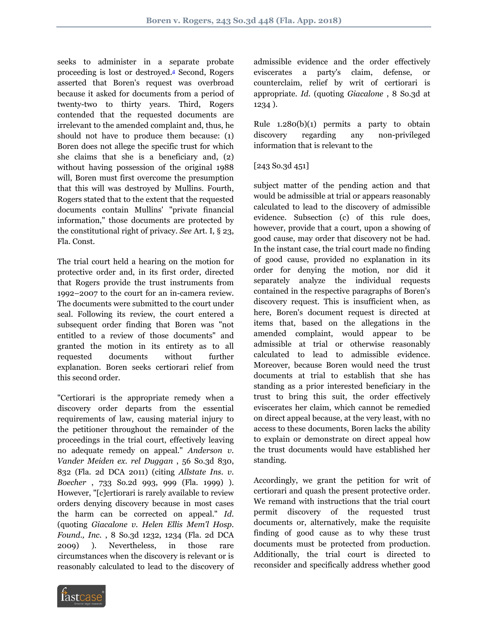seeks to administer in a separate probate proceeding is lost or destroyed.[4](#page-2-3) Second, Rogers asserted that Boren's request was overbroad because it asked for documents from a period of twenty-two to thirty years. Third, Rogers contended that the requested documents are irrelevant to the amended complaint and, thus, he should not have to produce them because: (1) Boren does not allege the specific trust for which she claims that she is a beneficiary and, (2) without having possession of the original 1988 will, Boren must first overcome the presumption that this will was destroyed by Mullins. Fourth, Rogers stated that to the extent that the requested documents contain Mullins' "private financial information," those documents are protected by the constitutional right of privacy. *See* Art. I, § 23, Fla. Const.

The trial court held a hearing on the motion for protective order and, in its first order, directed that Rogers provide the trust instruments from 1992–2007 to the court for an in-camera review. The documents were submitted to the court under seal. Following its review, the court entered a subsequent order finding that Boren was "not entitled to a review of those documents" and granted the motion in its entirety as to all requested documents without further explanation. Boren seeks certiorari relief from this second order.

"Certiorari is the appropriate remedy when a discovery order departs from the essential requirements of law, causing material injury to the petitioner throughout the remainder of the proceedings in the trial court, effectively leaving no adequate remedy on appeal." *Anderson v. Vander Meiden ex. rel Duggan* , 56 So.3d 830, 832 (Fla. 2d DCA 2011) (citing *Allstate Ins. v. Boecher* , 733 So.2d 993, 999 (Fla. 1999) ). However, "[c]ertiorari is rarely available to review orders denying discovery because in most cases the harm can be corrected on appeal." *Id.* (quoting *Giacalone v. Helen Ellis Mem'l Hosp. Found., Inc.* , 8 So.3d 1232, 1234 (Fla. 2d DCA 2009) ). Nevertheless, in those rare circumstances when the discovery is relevant or is reasonably calculated to lead to the discovery of <span id="page-1-0"></span>admissible evidence and the order effectively eviscerates a party's claim, defense, or counterclaim, relief by writ of certiorari is appropriate. *Id.* (quoting *Giacalone* , 8 So.3d at 1234 ).

Rule 1.280(b)(1) permits a party to obtain discovery regarding any non-privileged information that is relevant to the

## [243 So.3d 451]

subject matter of the pending action and that would be admissible at trial or appears reasonably calculated to lead to the discovery of admissible evidence. Subsection (c) of this rule does, however, provide that a court, upon a showing of good cause, may order that discovery not be had. In the instant case, the trial court made no finding of good cause, provided no explanation in its order for denying the motion, nor did it separately analyze the individual requests contained in the respective paragraphs of Boren's discovery request. This is insufficient when, as here, Boren's document request is directed at items that, based on the allegations in the amended complaint, would appear to be admissible at trial or otherwise reasonably calculated to lead to admissible evidence. Moreover, because Boren would need the trust documents at trial to establish that she has standing as a prior interested beneficiary in the trust to bring this suit, the order effectively eviscerates her claim, which cannot be remedied on direct appeal because, at the very least, with no access to these documents, Boren lacks the ability to explain or demonstrate on direct appeal how the trust documents would have established her standing.

Accordingly, we grant the petition for writ of certiorari and quash the present protective order. We remand with instructions that the trial court permit discovery of the requested trust documents or, alternatively, make the requisite finding of good cause as to why these trust documents must be protected from production. Additionally, the trial court is directed to reconsider and specifically address whether good